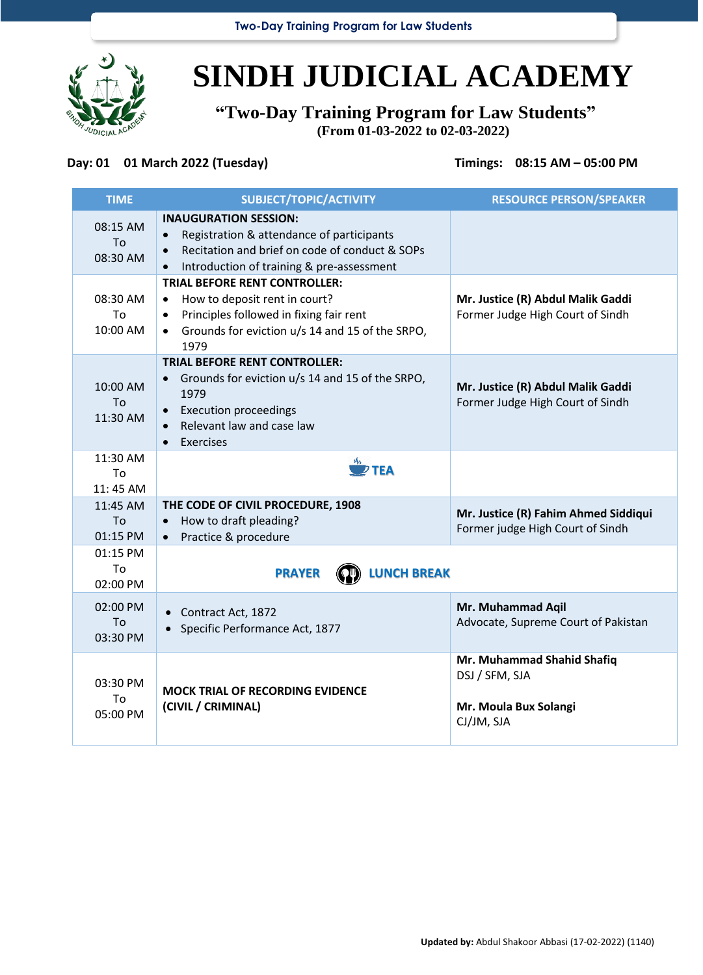

# **SINDH JUDICIAL ACADEMY**

## **"Two-Day Training Program for Law Students" (From 01-03-2022 to 02-03-2022)**

### **Day: 01 01 March 2022 (Tuesday) Timings: 08:15 AM – 05:00 PM**

| <b>TIME</b>                       | SUBJECT/TOPIC/ACTIVITY                                                                                                                                                                                                        | <b>RESOURCE PERSON/SPEAKER</b>                                                      |
|-----------------------------------|-------------------------------------------------------------------------------------------------------------------------------------------------------------------------------------------------------------------------------|-------------------------------------------------------------------------------------|
| 08:15 AM<br>To<br>08:30 AM        | <b>INAUGURATION SESSION:</b><br>Registration & attendance of participants<br>$\bullet$<br>Recitation and brief on code of conduct & SOPs<br>$\bullet$<br>Introduction of training & pre-assessment                            |                                                                                     |
| 08:30 AM<br>To<br>10:00 AM        | <b>TRIAL BEFORE RENT CONTROLLER:</b><br>How to deposit rent in court?<br>$\bullet$<br>Principles followed in fixing fair rent<br>$\bullet$<br>Grounds for eviction u/s 14 and 15 of the SRPO,<br>$\bullet$<br>1979            | Mr. Justice (R) Abdul Malik Gaddi<br>Former Judge High Court of Sindh               |
| 10:00 AM<br>To<br>11:30 AM        | <b>TRIAL BEFORE RENT CONTROLLER:</b><br>Grounds for eviction u/s 14 and 15 of the SRPO,<br>$\bullet$<br>1979<br><b>Execution proceedings</b><br>$\bullet$<br>Relevant law and case law<br>$\bullet$<br>Exercises<br>$\bullet$ | Mr. Justice (R) Abdul Malik Gaddi<br>Former Judge High Court of Sindh               |
| 11:30 AM<br>To<br>11:45 AM        | $\overline{P}$ TEA                                                                                                                                                                                                            |                                                                                     |
| 11:45 AM<br><b>To</b><br>01:15 PM | THE CODE OF CIVIL PROCEDURE, 1908<br>How to draft pleading?<br>$\bullet$<br>Practice & procedure<br>$\bullet$                                                                                                                 | Mr. Justice (R) Fahim Ahmed Siddiqui<br>Former judge High Court of Sindh            |
| 01:15 PM<br>To<br>02:00 PM        | <b>LUNCH BREAK</b><br><b>PRAYER</b>                                                                                                                                                                                           |                                                                                     |
| 02:00 PM<br>To<br>03:30 PM        | Contract Act, 1872<br>Specific Performance Act, 1877                                                                                                                                                                          | Mr. Muhammad Aqil<br>Advocate, Supreme Court of Pakistan                            |
| 03:30 PM<br>To<br>05:00 PM        | <b>MOCK TRIAL OF RECORDING EVIDENCE</b><br>(CIVIL / CRIMINAL)                                                                                                                                                                 | Mr. Muhammad Shahid Shafiq<br>DSJ / SFM, SJA<br>Mr. Moula Bux Solangi<br>CJ/JM, SJA |